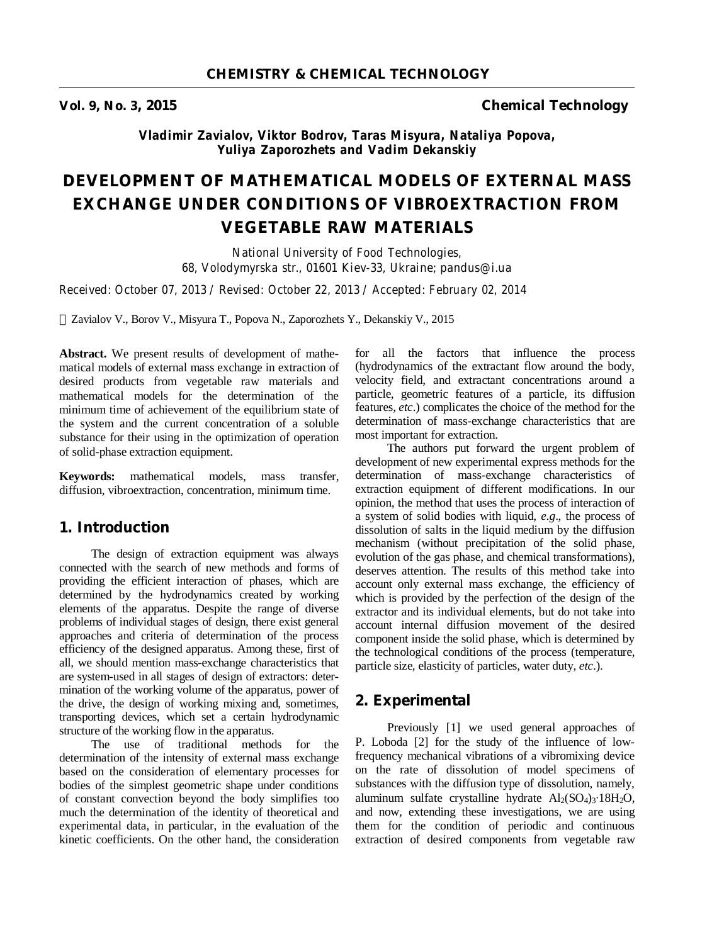**Vol. 9, No. 3, 2015 Chemical Technology** 

*Vladimir Zavialov, Viktor Bodrov, Taras Misyura, Nataliya Popova, Yuliya Zaporozhets and Vadim Dekanskiy*

# **DEVELOPMENT OF MATHEMATICAL MODELS OF EXTERNAL MASS EXCHANGE UNDER CONDITIONS OF VIBROEXTRACTION FROM VEGETABLE RAW MATERIALS**

*National University of Food Technologies, 68, Volodymyrska str., 01601 Kiev-33, Ukraine; pandus@i.ua* 

*Received: October 07, 2013 / Revised: October 22, 2013 / Accepted: February 02, 2014* 

Zavialov V., Borov V., Misyura T., Popova N., Zaporozhets Y., Dekanskiy V., 2015

**Abstract.** We present results of development of mathematical models of external mass exchange in extraction of desired products from vegetable raw materials and mathematical models for the determination of the minimum time of achievement of the equilibrium state of the system and the current concentration of a soluble substance for their using in the optimization of operation of solid-phase extraction equipment.

**Keywords:** mathematical models, mass transfer, diffusion, vibroextraction, concentration, minimum time.

# **1. Introduction**

The design of extraction equipment was always connected with the search of new methods and forms of providing the efficient interaction of phases, which are determined by the hydrodynamics created by working elements of the apparatus. Despite the range of diverse problems of individual stages of design, there exist general approaches and criteria of determination of the process efficiency of the designed apparatus. Among these, first of all, we should mention mass-exchange characteristics that are system-used in all stages of design of extractors: determination of the working volume of the apparatus, power of the drive, the design of working mixing and, sometimes, transporting devices, which set a certain hydrodynamic structure of the working flow in the apparatus.

The use of traditional methods for the determination of the intensity of external mass exchange based on the consideration of elementary processes for bodies of the simplest geometric shape under conditions of constant convection beyond the body simplifies too much the determination of the identity of theoretical and experimental data, in particular, in the evaluation of the kinetic coefficients. On the other hand, the consideration

for all the factors that influence the process (hydrodynamics of the extractant flow around the body, velocity field, and extractant concentrations around a particle, geometric features of a particle, its diffusion features, *etc*.) complicates the choice of the method for the determination of mass-exchange characteristics that are most important for extraction.

The authors put forward the urgent problem of development of new experimental express methods for the determination of mass-exchange characteristics of extraction equipment of different modifications. In our opinion, the method that uses the process of interaction of a system of solid bodies with liquid, *e.g*., the process of dissolution of salts in the liquid medium by the diffusion mechanism (without precipitation of the solid phase, evolution of the gas phase, and chemical transformations), deserves attention. The results of this method take into account only external mass exchange, the efficiency of which is provided by the perfection of the design of the extractor and its individual elements, but do not take into account internal diffusion movement of the desired component inside the solid phase, which is determined by the technological conditions of the process (temperature, particle size, elasticity of particles, water duty, *etc*.).

#### **2. Experimental**

Previously [1] we used general approaches of P. Loboda [2] for the study of the influence of lowfrequency mechanical vibrations of a vibromixing device on the rate of dissolution of model specimens of substances with the diffusion type of dissolution, namely, aluminum sulfate crystalline hydrate  $\text{Al}_2(\text{SO}_4)_3$ ∙18H<sub>2</sub>O, and now, extending these investigations, we are using them for the condition of periodic and continuous extraction of desired components from vegetable raw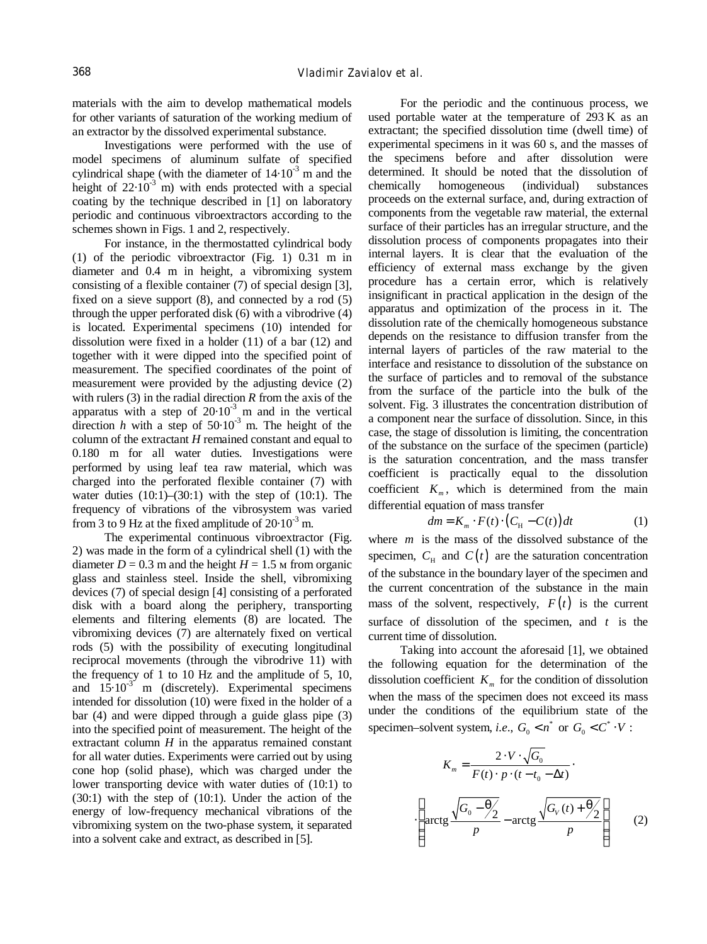materials with the aim to develop mathematical models for other variants of saturation of the working medium of an extractor by the dissolved experimental substance.

Investigations were performed with the use of model specimens of aluminum sulfate of specified cylindrical shape (with the diameter of  $14 \cdot 10^{-3}$  m and the height of  $22 \cdot 10^{-3}$  m) with ends protected with a special coating by the technique described in [1] on laboratory periodic and continuous vibroextractors according to the schemes shown in Figs. 1 and 2, respectively.

For instance, in the thermostatted cylindrical body (1) of the periodic vibroextractor (Fig. 1) 0.31 m in diameter and 0.4 m in height, a vibromixing system consisting of a flexible container (7) of special design [3], fixed on a sieve support (8), and connected by a rod (5) through the upper perforated disk (6) with a vibrodrive (4) is located. Experimental specimens (10) intended for dissolution were fixed in a holder (11) of a bar (12) and together with it were dipped into the specified point of measurement. The specified coordinates of the point of measurement were provided by the adjusting device (2) with rulers (3) in the radial direction *R* from the axis of the apparatus with a step of  $20 \cdot 10^{-3}$  m and in the vertical direction  $h$  with a step of  $50 \cdot 10^{-3}$  m. The height of the column of the extractant *H* remained constant and equal to 0.180 m for all water duties. Investigations were performed by using leaf tea raw material, which was charged into the perforated flexible container (7) with water duties  $(10:1)$ – $(30:1)$  with the step of  $(10:1)$ . The frequency of vibrations of the vibrosystem was varied from 3 to 9 Hz at the fixed amplitude of  $20 \cdot 10^{-3}$  m.

The experimental continuous vibroextractor (Fig. 2) was made in the form of a cylindrical shell (1) with the diameter  $D = 0.3$  m and the height  $H = 1.5$  m from organic glass and stainless steel. Inside the shell, vibromixing devices (7) of special design [4] consisting of a perforated disk with a board along the periphery, transporting elements and filtering elements (8) are located. The vibromixing devices (7) are alternately fixed on vertical rods (5) with the possibility of executing longitudinal reciprocal movements (through the vibrodrive 11) with the frequency of 1 to 10 Hz and the amplitude of 5, 10, and  $15.10^{-3}$  m (discretely). Experimental specimens intended for dissolution (10) were fixed in the holder of a bar (4) and were dipped through a guide glass pipe (3) into the specified point of measurement. The height of the extractant column  $H$  in the apparatus remained constant for all water duties. Experiments were carried out by using cone hop (solid phase), which was charged under the lower transporting device with water duties of (10:1) to (30:1) with the step of (10:1). Under the action of the energy of low-frequency mechanical vibrations of the vibromixing system on the two-phase system, it separated into a solvent cake and extract, as described in [5].  $tea \sim$ 

For the periodic and the continuous process, we used portable water at the temperature of 293 K as an extractant; the specified dissolution time (dwell time) of experimental specimens in it was 60 s, and the masses of the specimens before and after dissolution were determined. It should be noted that the dissolution of chemically homogeneous (individual) substances proceeds on the external surface, and, during extraction of components from the vegetable raw material, the external surface of their particles has an irregular structure, and the dissolution process of components propagates into their internal layers. It is clear that the evaluation of the efficiency of external mass exchange by the given procedure has a certain error, which is relatively insignificant in practical application in the design of the apparatus and optimization of the process in it. The dissolution rate of the chemically homogeneous substance depends on the resistance to diffusion transfer from the internal layers of particles of the raw material to the interface and resistance to dissolution of the substance on the surface of particles and to removal of the substance from the surface of the particle into the bulk of the solvent. Fig. 3 illustrates the concentration distribution of a component near the surface of dissolution. Since, in this case, the stage of dissolution is limiting, the concentration of the substance on the surface of the specimen (particle) is the saturation concentration, and the mass transfer coefficient is practically equal to the dissolution coefficient  $K_m$ , which is determined from the main differential equation of mass transfer

$$
dm = K_m \cdot F(t) \cdot (C_H - C(t)) dt \tag{1}
$$

where *m* is the mass of the dissolved substance of the specimen,  $C_{\text{H}}$  and  $C(t)$  are the saturation concentration of the substance in the boundary layer of the specimen and the current concentration of the substance in the main mass of the solvent, respectively,  $F(t)$  is the current surface of dissolution of the specimen, and *t* is the current time of dissolution.

Taking into account the aforesaid [1], we obtained the following equation for the determination of the dissolution coefficient  $K<sub>m</sub>$  for the condition of dissolution when the mass of the specimen does not exceed its mass under the conditions of the equilibrium state of the specimen–solvent system, *i.e.*,  $G_0 < n^*$  or  $G_0 < C^* \cdot V$ :

It by using

\nunder the

\n(10.1) to

\n(10.1) to

\nso of the

\nseparated

\n
$$
\begin{cases}\nR_m = \frac{2 \cdot V \cdot \sqrt{G_0}}{F(t) \cdot p \cdot (t - t_0 - \Delta t)} \\
\text{separated} & \text{and} \\
\text{in } \frac{\sqrt{G_0 - \frac{\Theta}{2}}}{p} - \arctg \frac{\sqrt{G_V(t) + \frac{\Theta}{2}}}{p}\n\end{cases}
$$
\n(2)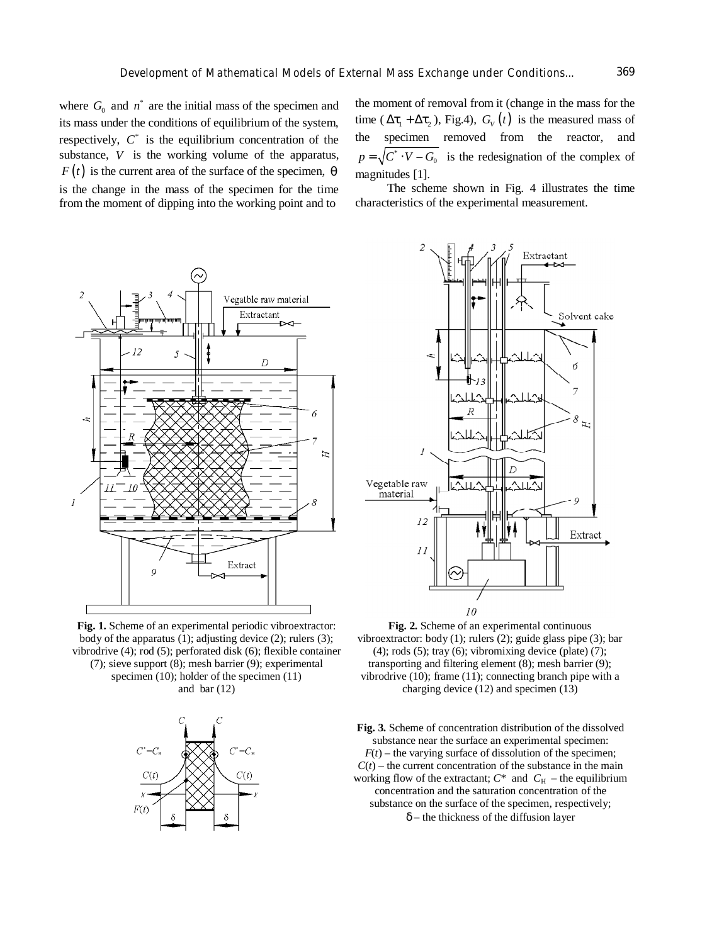where  $G_0$  and  $n^*$  are the initial mass of the specimen and its mass under the conditions of equilibrium of the system, respectively,  $C^*$  is the equilibrium concentration of the substance, *V* is the working volume of the apparatus,  $F(t)$  is the current area of the surface of the specimen,  $\theta$ is the change in the mass of the specimen for the time from the moment of dipping into the working point and to



**Fig. 1.** Scheme of an experimental periodic vibroextractor: body of the apparatus (1); adjusting device (2); rulers (3); vibrodrive (4); rod (5); perforated disk (6); flexible container (7); sieve support (8); mesh barrier (9); experimental specimen (10); holder of the specimen (11) and bar  $(12)$ 



the moment of removal from it (change in the mass for the time ( $\Delta \tau_1 + \Delta \tau_2$ ), Fig.4),  $G_V(t)$  is the measured mass of the specimen removed from the reactor, and  $p = \sqrt{C^* \cdot V - G_0}$  is the redesignation of the complex of magnitudes [1].

The scheme shown in Fig. 4 illustrates the time characteristics of the experimental measurement.



**Fig. 2.** Scheme of an experimental continuous vibroextractor: body (1); rulers (2); guide glass pipe (3); bar  $(4)$ ; rods  $(5)$ ; tray  $(6)$ ; vibromixing device (plate)  $(7)$ ; transporting and filtering element (8); mesh barrier (9); vibrodrive (10); frame (11); connecting branch pipe with a charging device (12) and specimen (13)

**Fig. 3.** Scheme of concentration distribution of the dissolved substance near the surface an experimental specimen:  $F(t)$  – the varying surface of dissolution of the specimen;  $C(t)$  – the current concentration of the substance in the main working flow of the extractant;  $C^*$  and  $C_H$  – the equilibrium concentration and the saturation concentration of the substance on the surface of the specimen, respectively; *d* – the thickness of the diffusion layer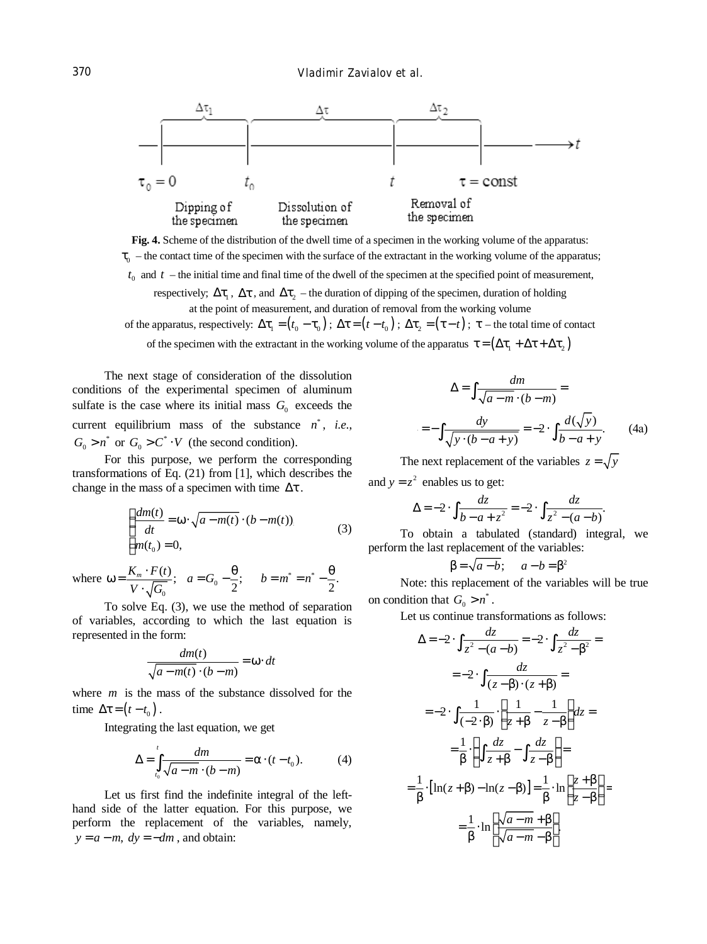

**Fig. 4.** Scheme of the distribution of the dwell time of a specimen in the working volume of the apparatus:  $\tau_0$  – the contact time of the specimen with the surface of the extractant in the working volume of the apparatus;  $t_0$  and  $t$  – the initial time and final time of the dwell of the specimen at the specified point of measurement, respectively;  $\Delta\tau_1$ ,  $\Delta\tau$ , and  $\Delta\tau_2$  – the duration of dipping of the specimen, duration of holding at the point of measurement, and duration of removal from the working volume

of the apparatus, respectively:  $\Delta \tau_1 = (t_0 - \tau_0)$ ;  $\Delta \tau = (t - t_0)$ ;  $\Delta \tau_2 = (\tau - t)$ ;  $\tau$  – the total time of contact

of the specimen with the extractant in the working volume of the apparatus  $\tau = (\Delta \tau_1 + \Delta \tau + \Delta \tau_2)$ 

The next stage of consideration of the dissolution conditions of the experimental specimen of aluminum sulfate is the case where its initial mass  $G_0$  exceeds the current equilibrium mass of the substance  $n^*$ , *i.e.*,  $= -\int \frac{dy}{\sqrt{1 - (1 - y^2)}} = -2$ .  $G_0 > n^*$  or  $G_0 > C^* \cdot V$  (the second condition).

For this purpose, we perform the corresponding transformations of Eq. (21) from [1], which describes the change in the mass of a specimen with time  $\Delta \tau$ .

$$
\begin{cases}\n\frac{dm(t)}{dt} = \omega \cdot \sqrt{a - m(t)} \cdot (b - m(t)). \\
m(t_0) = 0,\n\end{cases} \tag{3}
$$

where  $\omega = \frac{R_m - P(t)}{V}$ ;  $a = G_0 - \frac{0}{2}$ ;  $b = m^* = n^*$  $\mathbf{0}$  $\frac{(t)}{t}; a=G_0-\frac{\theta}{2}; b=m^*=n^*-\frac{\theta}{2}.$ 2 2  $\frac{K_m \cdot F(t)}{F_m}$ ;  $a = G_0 - \frac{\theta}{2}$ ;  $b = m^* = n$  $V \cdot \sqrt{G}$  $ω = \frac{K_m \cdot F(t)}{F}$ ;  $a = G_0 - \frac{\theta}{2}$ ;  $b = m^* = n^* - \frac{\theta}{2}$ ⋅

To solve Eq. (3), we use the method of separation of variables, according to which the last equation is represented in the form:

$$
\frac{dm(t)}{\sqrt{a-m(t)}\cdot(b-m)} = \omega \cdot dt
$$

where *m* is the mass of the substance dissolved for the time  $\Delta \tau = (t - t_0)$ .

Integrating the last equation, we get

$$
\Delta = \int_{t_0}^t \frac{dm}{\sqrt{a-m} \cdot (b-m)} = \alpha \cdot (t-t_0). \tag{4}
$$

Let us first find the indefinite integral of the lefthand side of the latter equation. For this purpose, we perform the replacement of the variables, namely,  $y = a - m$ ,  $dy = -dm$ , and obtain:

$$
\Delta = \int \frac{dm}{\sqrt{a - m} \cdot (b - m)} =
$$
  
i.e.,  

$$
= -\int \frac{dy}{\sqrt{y \cdot (b - a + y)}} = -2 \cdot \int \frac{d(\sqrt{y})}{b - a + y}.
$$
 (4a)

The next replacement of the variables  $z = \sqrt{y}$ and  $y = z^2$  enables us to get:

$$
\Delta = -2 \cdot \int \frac{dz}{b - a + z^2} = -2 \cdot \int \frac{dz}{z^2 - (a - b)}.
$$

To obtain a tabulated (standard) integral, we perform the last replacement of the variables:

$$
\beta = \sqrt{a - b}; \qquad a - b = \beta^2
$$

Note: this replacement of the variables will be true on condition that  $G_0 > n^*$ .

Let us continue transformations as follows:

$$
\Delta = -2 \cdot \int \frac{dz}{z^2 - (a - b)} = -2 \cdot \int \frac{dz}{z^2 - \beta^2} =
$$
  

$$
= -2 \cdot \int \frac{dz}{(z - \beta) \cdot (z + \beta)} =
$$
  

$$
= -2 \cdot \int \frac{1}{(-2 \cdot \beta)} \cdot \left[ \frac{1}{z + \beta} - \frac{1}{z - \beta} \right] dz =
$$
  

$$
= \frac{1}{\beta} \cdot \left( \int \frac{dz}{z + \beta} - \int \frac{dz}{z - \beta} \right) =
$$
  

$$
= \frac{1}{\beta} \cdot \left[ \ln(z + \beta) - \ln(z - \beta) \right] = \frac{1}{\beta} \cdot \ln \left[ \frac{z + \beta}{z - \beta} \right] =
$$
  

$$
= \frac{1}{\beta} \cdot \ln \left[ \frac{\sqrt{a - m} + \beta}{\sqrt{a - m} - \beta} \right].
$$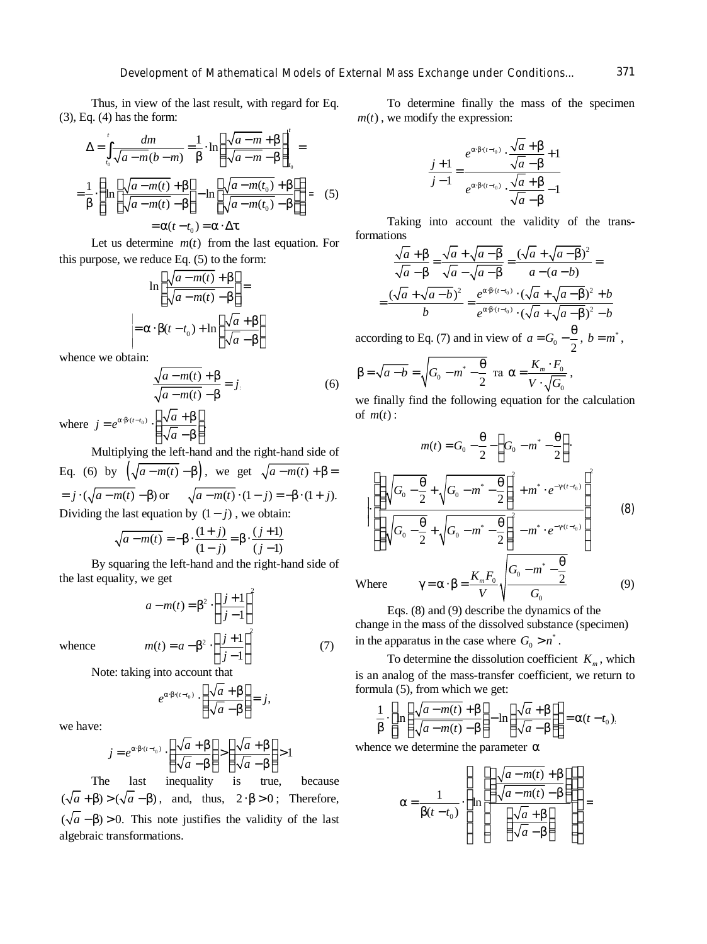Thus, in view of the last result, with regard for Eq. (3), Eq. (4) has the form:

$$
\Delta = \int_{t_0}^{t} \frac{dm}{\sqrt{a - m(b - m)}} = \frac{1}{\beta} \cdot \ln \left( \frac{\sqrt{a - m} + \beta}{\sqrt{a - m} - \beta} \right)_{t_0}^{t} =
$$

$$
= \frac{1}{\beta} \cdot \left\{ \ln \left[ \frac{\sqrt{a - m(t)} + \beta}{\sqrt{a - m(t)} - \beta} \right] - \ln \left[ \frac{\sqrt{a - m(t_0)} + \beta}{\sqrt{a - m(t_0)} - \beta} \right] \right\} = (5)
$$

$$
= \alpha(t - t_0) = \alpha \cdot \Delta \tau.
$$

Let us determine  $m(t)$  from the last equation. For this purpose, we reduce Eq. (5) to the form:

$$
\ln\left[\frac{\sqrt{a-m(t)} + \beta}{\sqrt{a-m(t)} - \beta}\right] =
$$
  
=  $\alpha \cdot \beta(t - t_0) + \ln\left[\frac{\sqrt{a} + \beta}{\sqrt{a} - \beta}\right]$ acco

whence we obtain:

$$
\frac{\sqrt{a-m(t)} + \beta}{\sqrt{a-m(t)} - \beta} = j
$$
 (6)

where  $j = e^{\alpha \cdot \beta \cdot (t - t_0)} \cdot \left( \frac{\sqrt{a + \beta}}{\sqrt{a^2 + \beta^2}} \right)$ . *a*  $= e^{\alpha \cdot \beta \cdot (t-t_0)} \cdot \left( \frac{\sqrt{a} + \beta}{\sqrt{a} + \beta} \right)$  $\left(\sqrt{a}-\beta\right)$ 

Multiplying the left-hand and the right-hand side of Eq. (6) by  $(\sqrt{a-m(t)} - \beta)$ , we get  $\sqrt{a-m(t)} + \beta =$  $a = j \cdot (\sqrt{a - m(t)} - \beta)$  or  $\sqrt{a - m(t)} \cdot (1 - j) = -\beta \cdot (1 + j).$  $\sum_{i=1}^n a_i$ 

$$
\sqrt{a-m(t)} = -\beta \cdot \frac{(1+j)}{(1-j)} = \beta \cdot \frac{(j+1)}{(j-1)}
$$

By squaring the left-hand and the right-hand side of the last equality, we get

$$
a - m(t) = \beta^2 \cdot \left(\frac{j+1}{j-1}\right)^2
$$

$$
m(t) = a - \beta^2 \cdot \left(\frac{j+1}{j-1}\right)^2
$$

whence

Note: taking into account that

$$
e^{\alpha \cdot \beta \cdot (t-t_0)} \cdot \left(\frac{\sqrt{a} + \beta}{\sqrt{a} - \beta}\right) = j,
$$

we have:

$$
j = e^{\alpha \beta \cdot (t - t_0)} \cdot \left( \frac{\sqrt{a} + \beta}{\sqrt{a} - \beta} \right) > \left( \frac{\sqrt{a} + \beta}{\sqrt{a} - \beta} \right) > 1
$$
  
The last inequality is true, because

 $(\sqrt{a} + \beta) > (\sqrt{a} - \beta)$ , and, thus,  $2 \cdot \beta > 0$ ; Therefore,  $(\sqrt{a}-\beta) > 0$ . This note justifies the validity of the last algebraic transformations.

To determine finally the mass of the specimen  $m(t)$ , we modify the expression:

$$
\frac{j+1}{j-1} = \frac{e^{\alpha \beta \cdot (t-t_0)} \cdot \frac{\sqrt{a} + \beta}{\sqrt{a} - \beta} + 1}{e^{\alpha \beta \cdot (t-t_0)} \cdot \frac{\sqrt{a} + \beta}{\sqrt{a} - \beta} - 1}
$$

Taking into account the validity of the transformations

$$
\frac{\sqrt{a} + \beta}{\sqrt{a} - \beta} = \frac{\sqrt{a} + \sqrt{a - \beta}}{\sqrt{a} - \sqrt{a - \beta}} = \frac{(\sqrt{a} + \sqrt{a - \beta})^2}{a - (a - b)} =
$$

$$
= \frac{(\sqrt{a} + \sqrt{a - b})^2}{b} = \frac{e^{\alpha \beta \cdot (t - t_0)} \cdot (\sqrt{a} + \sqrt{a - \beta})^2 + b}{e^{\alpha \beta \cdot (t - t_0)} \cdot (\sqrt{a} + \sqrt{a - \beta})^2 - b}
$$

according to Eq. (7) and in view of  $a = G_0 - \frac{9}{2}$  $a = G_0 - \frac{\theta}{a}$ ,  $b = m^*$ ,

$$
\beta = \sqrt{a - b} = \sqrt{G_0 - m^* - \frac{\theta}{2}} \text{ ra } \alpha = \frac{K_m \cdot F_0}{V \cdot \sqrt{G_0}},
$$

we finally find the following equation for the calculation of  $m(t)$ :

$$
(\sqrt{a}-\beta)
$$
  
\nMultiplying the left-hand and the right-hand side of  
\nEq. (6) by  $(\sqrt{a-m(t)}-\beta)$ , we get  $\sqrt{a-m(t)}+\beta=$   
\n=  $j \cdot (\sqrt{a-m(t)}-\beta)$  or  $\sqrt{a-m(t)} \cdot (1-j) = -\beta \cdot (1+j)$ .  
\nDividing the last equation by (1 – j), we obtain:  
\n
$$
\sqrt{a-m(t)} = -\beta \cdot \frac{(1+j)}{(1-j)} = \beta \cdot \frac{(j+1)}{(j-1)}
$$
  
\nBy squaring the left-hand and the right-hand side of  
\nthe last equality, we get  
\nWhere  $\gamma = \alpha \cdot \beta = \frac{K_m F_0}{\gamma} \sqrt{\frac{G_0 - m^* - \frac{\theta}{2}}{G_0 - m^* - \frac{\theta}{2}}}$  (9)

Where

(7)

Eqs. (8) and (9) describe the dynamics of the change in the mass of the dissolved substance (specimen) in the apparatus in the case where  $G_0 > n^*$ .

*V G*

0

To determine the dissolution coefficient  $K_m$ , which is an analog of the mass-transfer coefficient, we return to formula (5), from which we get:

$$
\frac{1}{\beta} \cdot \left[ \ln \left( \frac{\sqrt{a-m(t)} + \beta}{\sqrt{a-m(t)} - \beta} \right) - \ln \left( \frac{\sqrt{a} + \beta}{\sqrt{a} - \beta} \right) \right] = \alpha (t - t_0).
$$

whence we determine the parameter  $\alpha$ 

$$
\alpha = \frac{1}{\beta(t - t_0)} \cdot \left\{\ln \left[\frac{\left(\frac{\sqrt{a - m(t)} + \beta}{\sqrt{a - m(t)} - \beta}\right)}{\left(\frac{\sqrt{a} + \beta}{\sqrt{a} - \beta}\right)}\right]\right\} =
$$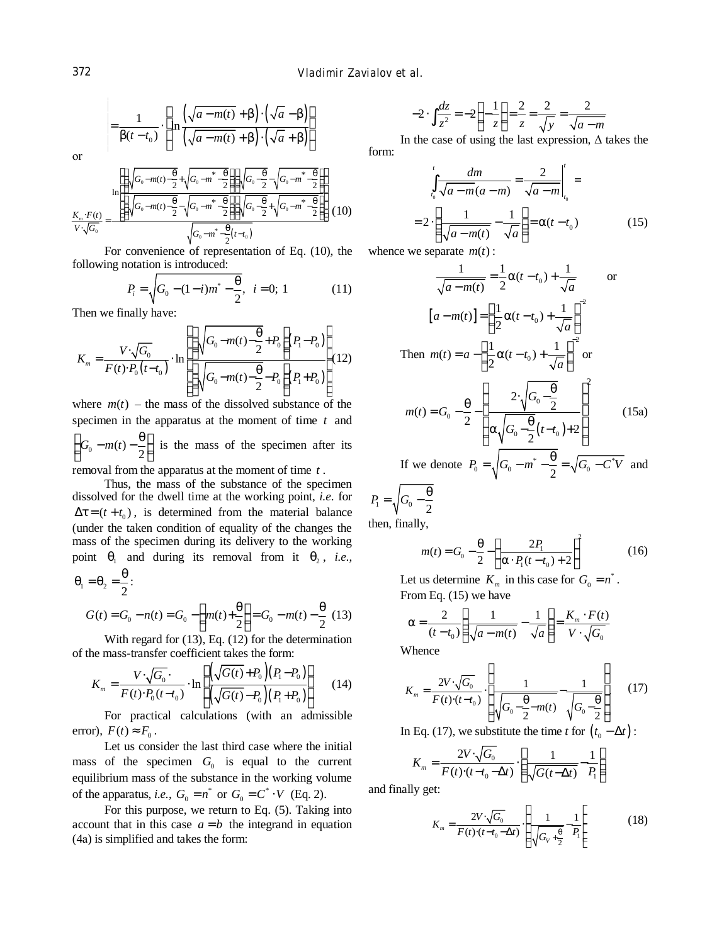$$
= \frac{1}{\beta(t-t_0)} \cdot \left[ \ln \frac{\left(\sqrt{a-m(t)} + \beta\right) \cdot \left(\sqrt{a} - \beta\right)}{\left(\sqrt{a-m(t)} + \beta\right) \cdot \left(\sqrt{a} + \beta\right)} \right]
$$

оr

$$
\frac{K_m \cdot F(t)}{V \cdot \sqrt{G_0}} = \frac{\ln \left[ \left( \sqrt{G_0 - m(t) - \frac{\theta}{2}} + \sqrt{G_0 - m^* - \frac{\theta}{2}} \right) \left( \sqrt{G_0 - \frac{\theta}{2}} - \sqrt{G_0 - m^* - \frac{\theta}{2}} \right) \right]}{\left( \sqrt{G_0 - m(t) - \frac{\theta}{2}} - \sqrt{G_0 - m^* - \frac{\theta}{2}} \right) \left( \sqrt{G_0 - \frac{\theta}{2}} + \sqrt{G_0 - m^* - \frac{\theta}{2}} \right)} \right] (10)
$$

For convenience of representation of Eq.  $(10)$ , the whence we separate  $m(t)$ : following notation is introduced:

$$
P_i = \sqrt{G_0 - (1 - i)m^* - \frac{\theta}{2}}, \quad i = 0; 1 \tag{11}
$$

Then we finally have:

$$
K_{m} = \frac{V \cdot \sqrt{G_0}}{F(t) \cdot P_0(t-t_0)} \cdot \ln \left[ \frac{\left( \sqrt{G_0 - m(t) - \frac{\theta}{2}} + P_0 \right) (P_1 - P_0)}{\left( \sqrt{G_0 - m(t) - \frac{\theta}{2}} - P_0 \right) (P_1 + P_0)} \right] (12)
$$

where  $m(t)$  – the mass of the dissolved substance of the specimen in the apparatus at the moment of time *t* and  $\left( G_0 - m(t) - \frac{\theta}{2} \right)$  is the mass of the specimen after its removal from the apparatus at the moment of time *t* .

Thus, the mass of the substance of the specimen dissolved for the dwell time at the working point, *i.e.* for  $\Delta \tau = (t + t_0)$ , is determined from the material balance (under the taken condition of equality of the changes the mass of the specimen during its delivery to the working point  $\theta_1$  and during its removal from it  $\theta_2$ , *i.e.*, θ

$$
\theta_1 = \theta_2 = \frac{3}{2}:
$$
  
\n
$$
G(t) = G_0 - n(t) = G_0 - \left( m(t) + \frac{\theta}{2} \right) = G_0 - m(t) - \frac{\theta}{2} \tag{13}
$$

With regard for (13), Eq. (12) for the determination of the mass-transfer coefficient takes the form:

$$
K_m = \frac{V \cdot \sqrt{G_0} \cdot \ln \left[ \left( \sqrt{G(t)} + P_0 \right) (P_1 - P_0) \right]}{F(t) \cdot P_0 (t - t_0)} \cdot \ln \left[ \left( \sqrt{G(t)} - P_0 \right) (P_1 + P_0) \right] \tag{14}
$$

For practical calculations (with an admissible error),  $F(t) \approx F_0$ .

Let us consider the last third case where the initial mass of the specimen  $G_0$  is equal to the current equilibrium mass of the substance in the working volume of the apparatus, *i.e.*,  $G_0 = n^*$  or  $G_0 = C^* \cdot V$  (Eq. 2).

For this purpose, we return to Eq. (5). Taking into account that in this case  $a = b$  the integrand in equation (4а) is simplified and takes the form:

$$
-2 \cdot \int \frac{dz}{z^2} = -2\left(-\frac{1}{z}\right) = \frac{2}{z} = \frac{2}{\sqrt{y}} = \frac{2}{\sqrt{a-m}}
$$

In the case of using the last expression,  $\Delta$  takes the form:

$$
\left[\frac{-m^* - \frac{\theta}{2}}{-m} \right] \left(10\right)
$$
\n
$$
= 2 \cdot \left(\frac{1}{\sqrt{a-m(t)}} - \frac{1}{\sqrt{a}}\right) = \alpha(t - t_0)
$$
\n
$$
\left[\frac{1}{\sqrt{a-m(t)}} - \frac{1}{\sqrt{a}}\right] = \alpha(t - t_0) \tag{15}
$$

$$
\frac{1}{\sqrt{a-m(t)}} = \frac{1}{2}\alpha(t-t_0) + \frac{1}{\sqrt{a}} \quad \text{or}
$$

$$
[a-m(t)] = \left(\frac{1}{2}\alpha(t-t_0) + \frac{1}{\sqrt{a}}\right)^2
$$

$$
\text{Then } m(t) = a - \left(\frac{1}{2}\alpha(t-t_0) + \frac{1}{\sqrt{a}}\right)^2 \text{ or}
$$

$$
m(t) = G_0 - \frac{\theta}{2} - \left(\frac{2 \cdot \sqrt{G_0 - \frac{\theta}{2}}}{\alpha \sqrt{G_0 - \frac{\theta}{2}}(t-t_0) + 2}\right) \quad (15a)
$$

If we denote  $P_0 = \sqrt{G_0 - m^* - \frac{9}{2}} = \sqrt{G_0 - C^*}$  $P_0 = \sqrt{G_0 - m^* - \frac{\theta}{2}} = \sqrt{G_0 - C^* V}$  and

$$
P_1 = \sqrt{G_0 - \frac{\theta}{2}}
$$

then, finally,

$$
m(t) = G_0 - \frac{\theta}{2} - \left(\frac{2P_1}{\alpha \cdot P_1(t - t_0) + 2}\right)^2 \tag{16}
$$

Let us determine  $K_m$  in this case for  $G_0 = n^*$ . From Eq. (15) we have

$$
\alpha = \frac{2}{(t - t_0)} \left( \frac{1}{\sqrt{a - m(t)}} - \frac{1}{\sqrt{a}} \right) = \frac{K_m \cdot F(t)}{V \cdot \sqrt{G_0}}
$$
  
Whence

Whence

$$
K_m = \frac{2V \cdot \sqrt{G_0}}{F(t) \cdot (t - t_0)} \cdot \left( \frac{1}{\sqrt{G_0 - \frac{\theta}{2} - m(t)}} - \frac{1}{\sqrt{G_0 - \frac{\theta}{2}}} \right) \tag{17}
$$

In Eq. (17), we substitute the time *t* for  $(t_0 - \Delta t)$ :

$$
K_m = \frac{2V \cdot \sqrt{G_0}}{F(t) \cdot (t - t_0 - \Delta t)} \cdot \left(\frac{1}{\sqrt{G(t - \Delta t)}} - \frac{1}{P_1}\right)
$$
  
by get:

and finally get:

$$
K_m = \frac{2V \cdot \sqrt{G_0}}{F(t) \cdot (t - t_0 - \Delta t)} \cdot \left(\frac{1}{\sqrt{G_V + \frac{\theta}{2}}} - \frac{1}{P_1}\right)
$$
(18)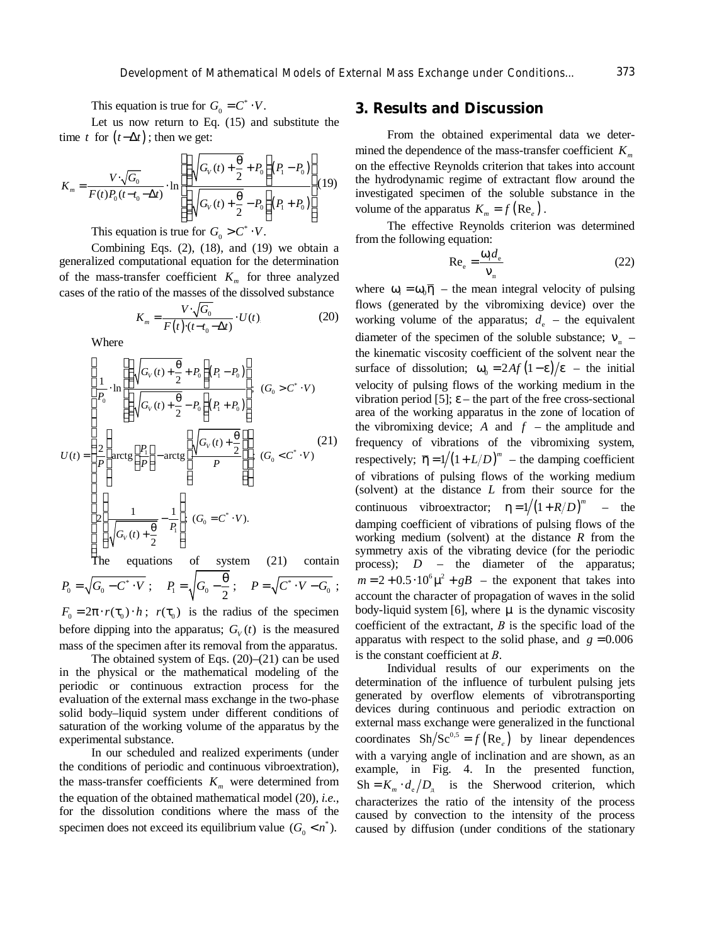This equation is true for  $G_0 = C^* \cdot V$ .

Let us now return to Eq. (15) and substitute the time *t* for  $(t - \Delta t)$ ; then we get:

$$
K_m = \frac{V \cdot \sqrt{G_0}}{F(t)P_0(t - t_0 - \Delta t)} \cdot \ln \left[ \frac{\left(\sqrt{G_V(t) + \frac{\theta}{2}} + P_0\right)(P_1 - P_0)}{\left(\sqrt{G_V(t) + \frac{\theta}{2}} - P_0\right)(P_1 + P_0)} \right] (19)
$$

This equation is true for  $G_0 > C^* \cdot V$ .

Combining Eqs. (2), (18), and (19) we obtain a generalized computational equation for the determination of the mass-transfer coefficient  $K_m$  for three analyzed cases of the ratio of the masses of the dissolved substance

$$
K_m = \frac{V \cdot \sqrt{G_0}}{F(t) \cdot (t - t_0 - \Delta t)} \cdot U(t) \tag{20}
$$

Where

$$
U(t) = \begin{cases} \frac{1}{P_0} \cdot \ln \left[ \left( \sqrt{G_V(t) + \frac{\theta}{2}} + P_0 \right) (P_1 - P_0) \right] \\ \frac{1}{P_0} \cdot \ln \left[ \left( \sqrt{G_V(t) + \frac{\theta}{2}} - P_0 \right) (P_1 + P_0) \right] \\ \frac{2}{P} \left( \arctg \left[ \frac{P_1}{P} \right] - \arctg \left[ \frac{\sqrt{G_V(t) + \frac{\theta}{2}}}{P} \right] \right); (G_0 < C^* \cdot V) \end{cases}
$$
\n
$$
U(t) = \begin{cases} \frac{2}{P} \left( \arctg \left[ \frac{P_1}{P} \right] - \arctg \left[ \frac{\sqrt{G_V(t) + \frac{\theta}{2}}}{P} \right] \right); (G_0 < C^* \cdot V) \\ \frac{2}{\sqrt{G_V(t) + \frac{\theta}{2}} - \frac{1}{P_1}}; (G_0 = C^* \cdot V). \\ \text{The equations of system (21) contain} \end{cases}
$$

 $P_0 = \sqrt{G_0 - C^* \cdot V}$ ;  $P_1 = \sqrt{G_0 - \frac{\theta}{2}}$ ;  $P = \sqrt{C^* \cdot V - G_0}$ ;

 $F_0 = 2\pi \cdot r(\tau_0) \cdot h$ ;  $r(\tau_0)$  is the radius of the specimen before dipping into the apparatus;  $G_V(t)$  is the measured mass of the specimen after its removal from the apparatus.

The obtained system of Eqs. (20)–(21) can be used in the physical or the mathematical modeling of the periodic or continuous extraction process for the evaluation of the external mass exchange in the two-phase solid body–liquid system under different conditions of saturation of the working volume of the apparatus by the experimental substance.

In our scheduled and realized experiments (under the conditions of periodic and continuous vibroextration), the mass-transfer coefficients  $K<sub>m</sub>$  were determined from the equation of the obtained mathematical model (20), *i.e*., for the dissolution conditions where the mass of the specimen does not exceed its equilibrium value  $(G_0 < n^*)$ .

# **3. Results and Discussion**

From the obtained experimental data we determined the dependence of the mass-transfer coefficient  $K<sub>m</sub>$ on the effective Reynolds criterion that takes into account the hydrodynamic regime of extractant flow around the investigated specimen of the soluble substance in the volume of the apparatus  $K_m = f(\text{Re}_e)$ .

The effective Reynolds criterion was determined from the following equation:

$$
\text{Re}_e = \frac{\omega_i d_e}{v_{\text{n}}} \tag{22}
$$

where  $\omega_i = \omega_0 \overline{\eta}$  – the mean integral velocity of pulsing flows (generated by the vibromixing device) over the working volume of the apparatus;  $d_e$  – the equivalent diameter of the specimen of the soluble substance;  $v_{\text{n}}$  – the kinematic viscosity coefficient of the solvent near the surface of dissolution;  $\omega_0 = 2Af(1-\epsilon)/\epsilon$  – the initial velocity of pulsing flows of the working medium in the vibration period [5];  $\varepsilon$  – the part of the free cross-sectional area of the working apparatus in the zone of location of the vibromixing device;  $A$  and  $f$  – the amplitude and frequency of vibrations of the vibromixing system, respectively;  $\overline{\eta} = 1/(1 + L/D)^m$  – the damping coefficient of vibrations of pulsing flows of the working medium (solvent) at the distance *L* from their source for the continuous vibroextractor;  $\eta = 1/(1 + R/D)^m$  – the damping coefficient of vibrations of pulsing flows of the working medium (solvent) at the distance *R* from the symmetry axis of the vibrating device (for the periodic process); *D* – the diameter of the apparatus;  $m = 2 + 0.5 \cdot 10^6 \mu^2 + gB$  – the exponent that takes into account the character of propagation of waves in the solid body-liquid system [6], where  $\mu$  is the dynamic viscosity coefficient of the extractant, *В* is the specific load of the apparatus with respect to the solid phase, and  $g = 0.006$ is the constant coefficient at *В*.

Individual results of our experiments on the determination of the influence of turbulent pulsing jets generated by overflow elements of vibrotransporting devices during continuous and periodic extraction on external mass exchange were generalized in the functional coordinates  $\text{Sh}/\text{Sc}^{0,5} = f(\text{Re}_e)$  by linear dependences with a varying angle of inclination and are shown, as an example, in Fig. 4. In the presented function,  $Sh = K_m \cdot d_e/D_n$  is the Sherwood criterion, which characterizes the ratio of the intensity of the process caused by convection to the intensity of the process caused by diffusion (under conditions of the stationary